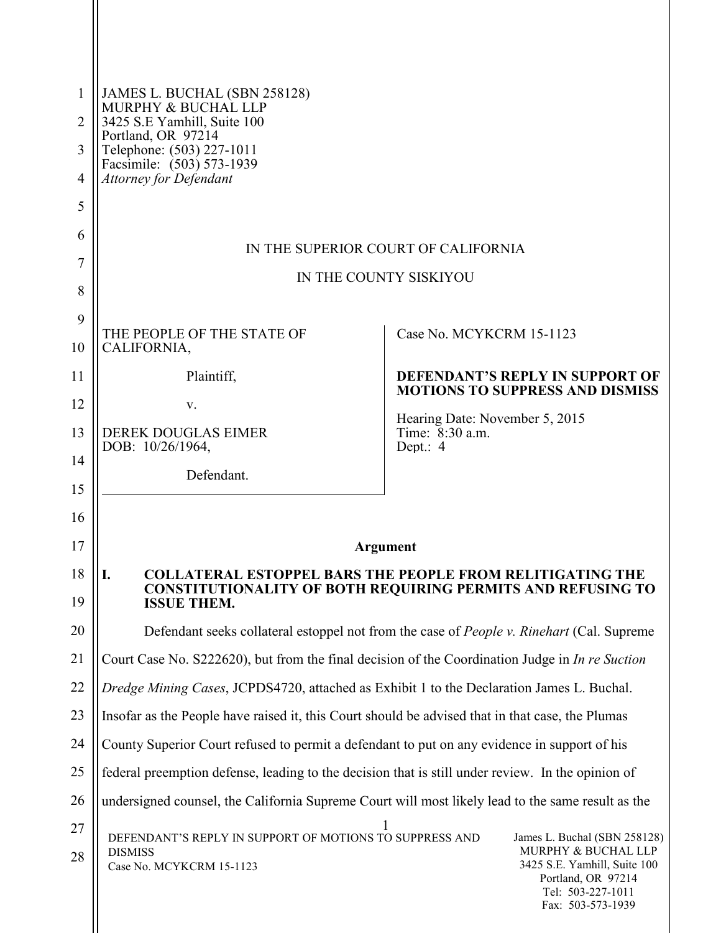| 1              | JAMES L. BUCHAL (SBN 258128)                                                                                                                 |                                                                                                |  |
|----------------|----------------------------------------------------------------------------------------------------------------------------------------------|------------------------------------------------------------------------------------------------|--|
| $\overline{2}$ | MURPHY & BUCHAL LLP<br>3425 S.E Yamhill, Suite 100                                                                                           |                                                                                                |  |
| 3              | Portland, OR 97214<br>Telephone: (503) 227-1011                                                                                              |                                                                                                |  |
| $\overline{4}$ | Facsimile: (503) 573-1939<br><b>Attorney for Defendant</b>                                                                                   |                                                                                                |  |
| 5              |                                                                                                                                              |                                                                                                |  |
| 6              |                                                                                                                                              |                                                                                                |  |
| 7              | IN THE SUPERIOR COURT OF CALIFORNIA                                                                                                          |                                                                                                |  |
| 8              | IN THE COUNTY SISKIYOU                                                                                                                       |                                                                                                |  |
| 9              |                                                                                                                                              |                                                                                                |  |
| 10             | THE PEOPLE OF THE STATE OF<br>CALIFORNIA,                                                                                                    | Case No. MCYKCRM 15-1123                                                                       |  |
| 11             | Plaintiff,                                                                                                                                   | <b>DEFENDANT'S REPLY IN SUPPORT OF</b>                                                         |  |
| 12             | V.                                                                                                                                           | <b>MOTIONS TO SUPPRESS AND DISMISS</b>                                                         |  |
| 13             | <b>DEREK DOUGLAS EIMER</b>                                                                                                                   | Hearing Date: November 5, 2015<br>Time: 8:30 a.m.                                              |  |
| 14             | DOB: 10/26/1964,                                                                                                                             | Dept.: 4                                                                                       |  |
| 15             | Defendant.                                                                                                                                   |                                                                                                |  |
| 16             |                                                                                                                                              |                                                                                                |  |
| 17             |                                                                                                                                              | Argument                                                                                       |  |
| 18             | <b>COLLATERAL ESTOPPEL BARS THE PEOPLE FROM RELITIGATING THE</b><br>I.<br><b>CONSTITUTIONALITY OF BOTH REQUIRING PERMITS AND REFUSING TO</b> |                                                                                                |  |
| 19             | <b>ISSUE THEM.</b>                                                                                                                           |                                                                                                |  |
| 20             | Defendant seeks collateral estoppel not from the case of <i>People v. Rinehart</i> (Cal. Supreme                                             |                                                                                                |  |
| 21             | Court Case No. S222620), but from the final decision of the Coordination Judge in In re Suction                                              |                                                                                                |  |
| 22             | Dredge Mining Cases, JCPDS4720, attached as Exhibit 1 to the Declaration James L. Buchal.                                                    |                                                                                                |  |
| 23             | Insofar as the People have raised it, this Court should be advised that in that case, the Plumas                                             |                                                                                                |  |
| 24             | County Superior Court refused to permit a defendant to put on any evidence in support of his                                                 |                                                                                                |  |
| 25             | federal preemption defense, leading to the decision that is still under review. In the opinion of                                            |                                                                                                |  |
| 26             | undersigned counsel, the California Supreme Court will most likely lead to the same result as the                                            |                                                                                                |  |
| 27             | DEFENDANT'S REPLY IN SUPPORT OF MOTIONS TO SUPPRESS AND<br>James L. Buchal (SBN 258128)                                                      |                                                                                                |  |
| 28             | <b>DISMISS</b><br>Case No. MCYKCRM 15-1123                                                                                                   | MURPHY & BUCHAL LLP<br>3425 S.E. Yamhill, Suite 100<br>Portland, OR 97214<br>Tel: 503-227-1011 |  |

 $\parallel$ 

Fax: 503-573-1939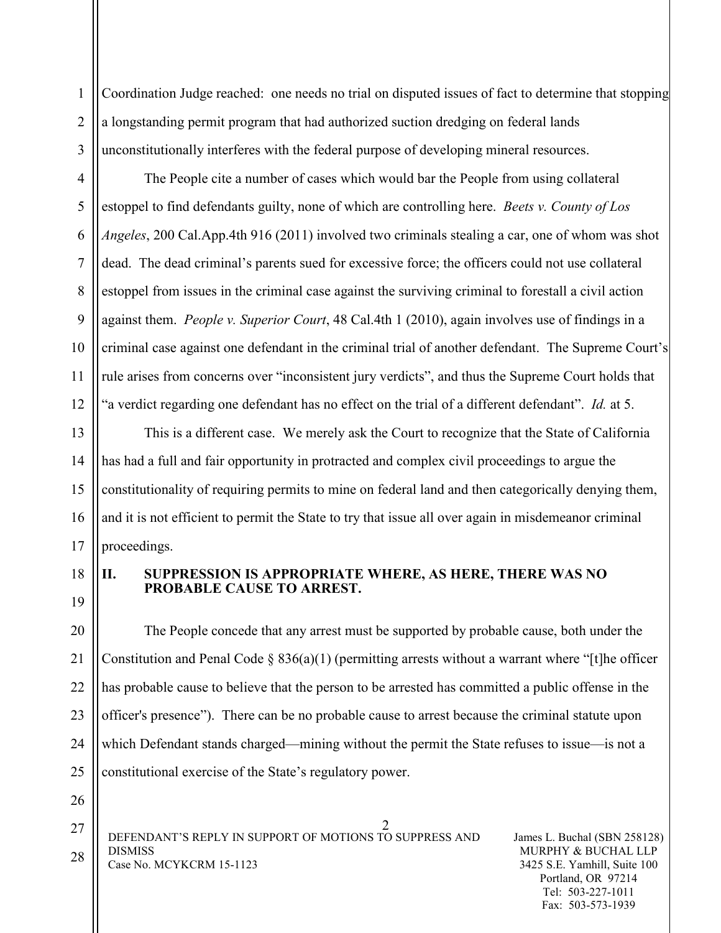1 2 3 Coordination Judge reached: one needs no trial on disputed issues of fact to determine that stopping a longstanding permit program that had authorized suction dredging on federal lands unconstitutionally interferes with the federal purpose of developing mineral resources.

The People cite a number of cases which would bar the People from using collateral estoppel to find defendants guilty, none of which are controlling here. *Beets v. County of Los Angeles*, 200 Cal.App.4th 916 (2011) involved two criminals stealing a car, one of whom was shot dead. The dead criminal's parents sued for excessive force; the officers could not use collateral estoppel from issues in the criminal case against the surviving criminal to forestall a civil action against them. *People v. Superior Court*, 48 Cal.4th 1 (2010), again involves use of findings in a criminal case against one defendant in the criminal trial of another defendant. The Supreme Court's rule arises from concerns over "inconsistent jury verdicts", and thus the Supreme Court holds that "a verdict regarding one defendant has no effect on the trial of a different defendant". *Id.* at 5.

This is a different case. We merely ask the Court to recognize that the State of California has had a full and fair opportunity in protracted and complex civil proceedings to argue the constitutionality of requiring permits to mine on federal land and then categorically denying them, and it is not efficient to permit the State to try that issue all over again in misdemeanor criminal proceedings.

18

4

5

6

7

8

9

10

11

12

13

14

15

16

17

19

26

## **II. SUPPRESSION IS APPROPRIATE WHERE, AS HERE, THERE WAS NO PROBABLE CAUSE TO ARREST.**

20 21 22 23 24 25 The People concede that any arrest must be supported by probable cause, both under the Constitution and Penal Code  $\S 836(a)(1)$  (permitting arrests without a warrant where "[t]he officer has probable cause to believe that the person to be arrested has committed a public offense in the officer's presence"). There can be no probable cause to arrest because the criminal statute upon which Defendant stands charged—mining without the permit the State refuses to issue—is not a constitutional exercise of the State's regulatory power.

2 DEFENDANT'S REPLY IN SUPPORT OF MOTIONS TO SUPPRESS AND DISMISS Case No. MCYKCRM 15-1123 27 28

James L. Buchal (SBN 258128) MURPHY & BUCHAL LLP 3425 S.E. Yamhill, Suite 100 Portland, OR 97214 Tel: 503-227-1011 Fax: 503-573-1939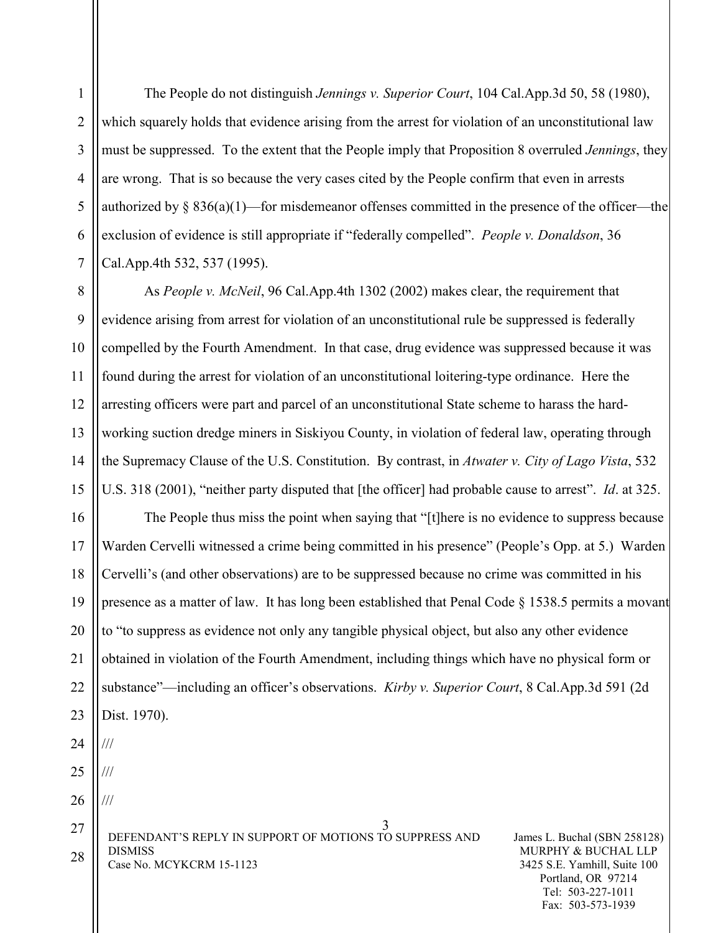4 6 The People do not distinguish *Jennings v. Superior Court*, 104 Cal.App.3d 50, 58 (1980), which squarely holds that evidence arising from the arrest for violation of an unconstitutional law must be suppressed. To the extent that the People imply that Proposition 8 overruled *Jennings*, they are wrong. That is so because the very cases cited by the People confirm that even in arrests authorized by  $\S 836(a)(1)$ —for misdemeanor offenses committed in the presence of the officer—the exclusion of evidence is still appropriate if "federally compelled". *People v. Donaldson*, 36 Cal.App.4th 532, 537 (1995).

8 9 10 11 12 13 14 15 As *People v. McNeil*, 96 Cal.App.4th 1302 (2002) makes clear, the requirement that evidence arising from arrest for violation of an unconstitutional rule be suppressed is federally compelled by the Fourth Amendment. In that case, drug evidence was suppressed because it was found during the arrest for violation of an unconstitutional loitering-type ordinance. Here the arresting officers were part and parcel of an unconstitutional State scheme to harass the hardworking suction dredge miners in Siskiyou County, in violation of federal law, operating through the Supremacy Clause of the U.S. Constitution. By contrast, in *Atwater v. City of Lago Vista*, 532 U.S. 318 (2001), "neither party disputed that [the officer] had probable cause to arrest". *Id*. at 325.

16 17 18 19 20 21 22 23 24 25 The People thus miss the point when saying that "[t]here is no evidence to suppress because Warden Cervelli witnessed a crime being committed in his presence" (People's Opp. at 5.) Warden Cervelli's (and other observations) are to be suppressed because no crime was committed in his presence as a matter of law. It has long been established that Penal Code § 1538.5 permits a movant to "to suppress as evidence not only any tangible physical object, but also any other evidence obtained in violation of the Fourth Amendment, including things which have no physical form or substance"—including an officer's observations. *Kirby v. Superior Court*, 8 Cal.App.3d 591 (2d Dist. 1970). /// ///

26

///

1

2

3

5

7

3 DEFENDANT'S REPLY IN SUPPORT OF MOTIONS TO SUPPRESS AND DISMISS Case No. MCYKCRM 15-1123 27 28

James L. Buchal (SBN 258128) MURPHY & BUCHAL LLP 3425 S.E. Yamhill, Suite 100 Portland, OR 97214 Tel: 503-227-1011 Fax: 503-573-1939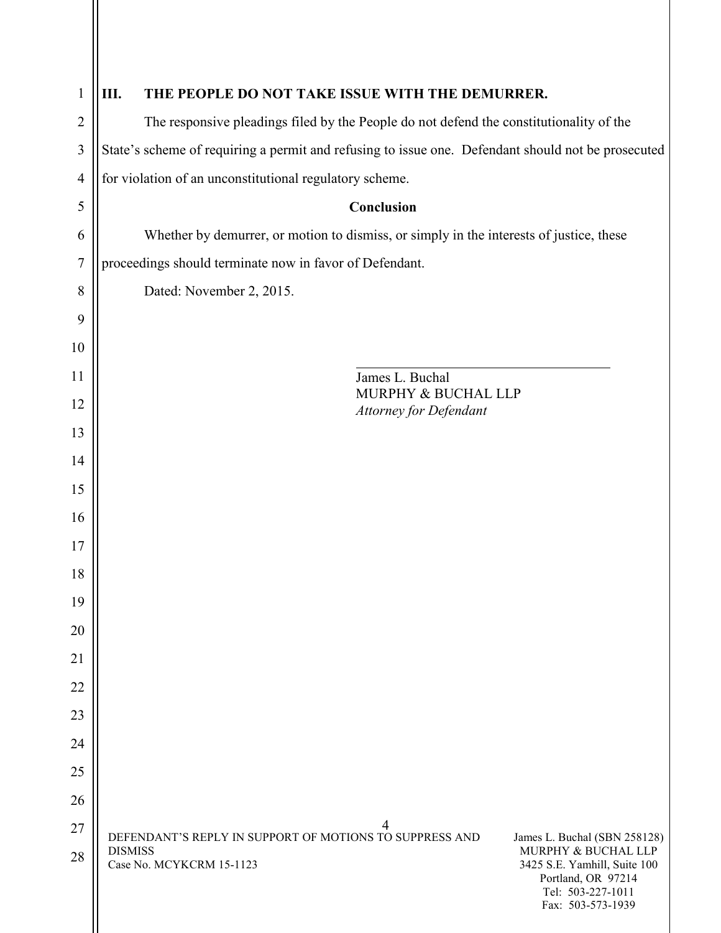| $\mathbf{1}$   | Ш.<br>THE PEOPLE DO NOT TAKE ISSUE WITH THE DEMURRER.                                                                                                                                                                                                        |  |  |
|----------------|--------------------------------------------------------------------------------------------------------------------------------------------------------------------------------------------------------------------------------------------------------------|--|--|
| $\overline{2}$ | The responsive pleadings filed by the People do not defend the constitutionality of the                                                                                                                                                                      |  |  |
| 3              | State's scheme of requiring a permit and refusing to issue one. Defendant should not be prosecuted                                                                                                                                                           |  |  |
| $\overline{4}$ | for violation of an unconstitutional regulatory scheme.                                                                                                                                                                                                      |  |  |
| 5              | Conclusion                                                                                                                                                                                                                                                   |  |  |
| 6              | Whether by demurrer, or motion to dismiss, or simply in the interests of justice, these                                                                                                                                                                      |  |  |
| $\tau$         | proceedings should terminate now in favor of Defendant.                                                                                                                                                                                                      |  |  |
| 8              | Dated: November 2, 2015.                                                                                                                                                                                                                                     |  |  |
| 9              |                                                                                                                                                                                                                                                              |  |  |
| 10             |                                                                                                                                                                                                                                                              |  |  |
| 11             | James L. Buchal<br>MURPHY & BUCHAL LLP                                                                                                                                                                                                                       |  |  |
| 12             | <b>Attorney for Defendant</b>                                                                                                                                                                                                                                |  |  |
| 13             |                                                                                                                                                                                                                                                              |  |  |
| 14             |                                                                                                                                                                                                                                                              |  |  |
| 15             |                                                                                                                                                                                                                                                              |  |  |
| 16             |                                                                                                                                                                                                                                                              |  |  |
| 17             |                                                                                                                                                                                                                                                              |  |  |
| 18             |                                                                                                                                                                                                                                                              |  |  |
| 19             |                                                                                                                                                                                                                                                              |  |  |
| 20             |                                                                                                                                                                                                                                                              |  |  |
| 21             |                                                                                                                                                                                                                                                              |  |  |
| 22<br>23       |                                                                                                                                                                                                                                                              |  |  |
| 24             |                                                                                                                                                                                                                                                              |  |  |
| 25             |                                                                                                                                                                                                                                                              |  |  |
| 26             |                                                                                                                                                                                                                                                              |  |  |
| 27             | 4                                                                                                                                                                                                                                                            |  |  |
| 28             | DEFENDANT'S REPLY IN SUPPORT OF MOTIONS TO SUPPRESS AND<br>James L. Buchal (SBN 258128)<br>MURPHY & BUCHAL LLP<br><b>DISMISS</b><br>Case No. MCYKCRM 15-1123<br>3425 S.E. Yamhill, Suite 100<br>Portland, OR 97214<br>Tel: 503-227-1011<br>Fax: 503-573-1939 |  |  |